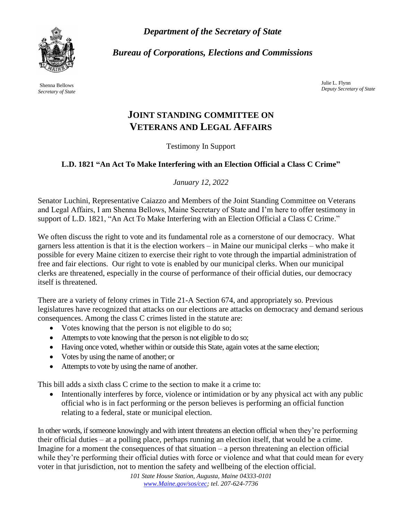*Department of the Secretary of State*



*Bureau of Corporations, Elections and Commissions*

Shenna Bellows *Secretary of State*

Julie L. Flynn *Deputy Secretary of State*

## **JOINT STANDING COMMITTEE ON VETERANS AND LEGAL AFFAIRS**

Testimony In Support

## **L.D. 1821 "An Act To Make Interfering with an Election Official a Class C Crime"**

*January 12, 2022*

Senator Luchini, Representative Caiazzo and Members of the Joint Standing Committee on Veterans and Legal Affairs, I am Shenna Bellows, Maine Secretary of State and I'm here to offer testimony in support of L.D. 1821, "An Act To Make Interfering with an Election Official a Class C Crime."

We often discuss the right to vote and its fundamental role as a cornerstone of our democracy. What garners less attention is that it is the election workers – in Maine our municipal clerks – who make it possible for every Maine citizen to exercise their right to vote through the impartial administration of free and fair elections. Our right to vote is enabled by our municipal clerks. When our municipal clerks are threatened, especially in the course of performance of their official duties, our democracy itself is threatened.

There are a variety of felony crimes in Title 21-A Section 674, and appropriately so. Previous legislatures have recognized that attacks on our elections are attacks on democracy and demand serious consequences. Among the class C crimes listed in the statute are:

- Votes knowing that the person is not eligible to do so;
- Attempts to vote knowing that the person is not eligible to do so;
- Having once voted, whether within or outside this State, again votes at the same election;
- Votes by using the name of another; or
- Attempts to vote by using the name of another.

This bill adds a sixth class C crime to the section to make it a crime to:

• Intentionally interferes by force, violence or intimidation or by any physical act with any public official who is in fact performing or the person believes is performing an official function relating to a federal, state or municipal election.

In other words, if someone knowingly and with intent threatens an election official when they're performing their official duties – at a polling place, perhaps running an election itself, that would be a crime. Imagine for a moment the consequences of that situation – a person threatening an election official while they're performing their official duties with force or violence and what that could mean for every voter in that jurisdiction, not to mention the safety and wellbeing of the election official.